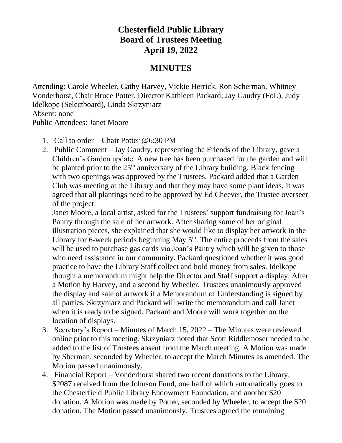## **Chesterfield Public Library Board of Trustees Meeting April 19, 2022**

## **MINUTES**

Attending: Carole Wheeler, Cathy Harvey, Vickie Herrick, Ron Scherman, Whitney Vonderhorst, Chair Bruce Potter, Director Kathleen Packard, Jay Gaudry (FoL), Judy Idelkope (Selectboard), Linda Skrzyniarz Absent: none

Public Attendees: Janet Moore

- 1. Call to order Chair Potter @6:30 PM
- 2. Public Comment Jay Gaudry, representing the Friends of the Library, gave a Children's Garden update. A new tree has been purchased for the garden and will be planted prior to the  $25<sup>th</sup>$  anniversary of the Library building. Black fencing with two openings was approved by the Trustees. Packard added that a Garden Club was meeting at the Library and that they may have some plant ideas. It was agreed that all plantings need to be approved by Ed Cheever, the Trustee overseer of the project.

Janet Moore, a local artist, asked for the Trustees' support fundraising for Joan's Pantry through the sale of her artwork. After sharing some of her original illustration pieces, she explained that she would like to display her artwork in the Library for 6-week periods beginning May  $5<sup>th</sup>$ . The entire proceeds from the sales will be used to purchase gas cards via Joan's Pantry which will be given to those who need assistance in our community. Packard questioned whether it was good practice to have the Library Staff collect and hold money from sales. Idelkope thought a memorandum might help the Director and Staff support a display. After a Motion by Harvey, and a second by Wheeler, Trustees unanimously approved the display and sale of artwork if a Memorandum of Understanding is signed by all parties. Skrzyniarz and Packard will write the memorandum and call Janet when it is ready to be signed. Packard and Moore will work together on the location of displays.

- 3. Secretary's Report Minutes of March 15, 2022 The Minutes were reviewed online prior to this meeting. Skrzyniarz noted that Scott Riddlemoser needed to be added to the list of Trustees absent from the March meeting. A Motion was made by Sherman, seconded by Wheeler, to accept the March Minutes as amended. The Motion passed unanimously.
- 4. Financial Report Vonderhorst shared two recent donations to the Library, \$2087 received from the Johnson Fund, one half of which automatically goes to the Chesterfield Public Library Endowment Foundation, and another \$20 donation. A Motion was made by Potter, seconded by Wheeler, to accept the \$20 donation. The Motion passed unanimously. Trustees agreed the remaining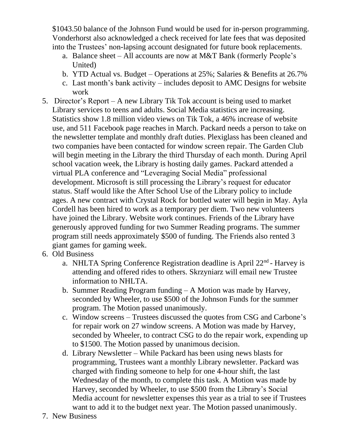\$1043.50 balance of the Johnson Fund would be used for in-person programming. Vonderhorst also acknowledged a check received for late fees that was deposited into the Trustees' non-lapsing account designated for future book replacements.

- a. Balance sheet All accounts are now at M&T Bank (formerly People's United)
- b. YTD Actual vs. Budget Operations at 25%; Salaries & Benefits at 26.7%
- c. Last month's bank activity includes deposit to AMC Designs for website work
- 5. Director's Report A new Library Tik Tok account is being used to market Library services to teens and adults. Social Media statistics are increasing. Statistics show 1.8 million video views on Tik Tok, a 46% increase of website use, and 511 Facebook page reaches in March. Packard needs a person to take on the newsletter template and monthly draft duties. Plexiglass has been cleaned and two companies have been contacted for window screen repair. The Garden Club will begin meeting in the Library the third Thursday of each month. During April school vacation week, the Library is hosting daily games. Packard attended a virtual PLA conference and "Leveraging Social Media" professional development. Microsoft is still processing the Library's request for educator status. Staff would like the After School Use of the Library policy to include ages. A new contract with Crystal Rock for bottled water will begin in May. Ayla Cordell has been hired to work as a temporary per diem. Two new volunteers have joined the Library. Website work continues. Friends of the Library have generously approved funding for two Summer Reading programs. The summer program still needs approximately \$500 of funding. The Friends also rented 3 giant games for gaming week.
- 6. Old Business
	- a. NHLTA Spring Conference Registration deadline is April 22<sup>nd</sup> Harvey is attending and offered rides to others. Skrzyniarz will email new Trustee information to NHLTA.
	- b. Summer Reading Program funding A Motion was made by Harvey, seconded by Wheeler, to use \$500 of the Johnson Funds for the summer program. The Motion passed unanimously.
	- c. Window screens Trustees discussed the quotes from CSG and Carbone's for repair work on 27 window screens. A Motion was made by Harvey, seconded by Wheeler, to contract CSG to do the repair work, expending up to \$1500. The Motion passed by unanimous decision.
	- d. Library Newsletter While Packard has been using news blasts for programming, Trustees want a monthly Library newsletter. Packard was charged with finding someone to help for one 4-hour shift, the last Wednesday of the month, to complete this task. A Motion was made by Harvey, seconded by Wheeler, to use \$500 from the Library's Social Media account for newsletter expenses this year as a trial to see if Trustees want to add it to the budget next year. The Motion passed unanimously.
- 7. New Business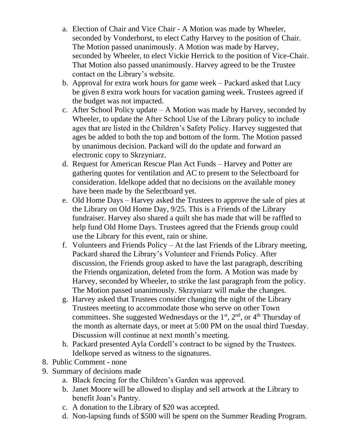- a. Election of Chair and Vice Chair A Motion was made by Wheeler, seconded by Vonderhorst, to elect Cathy Harvey to the position of Chair. The Motion passed unanimously. A Motion was made by Harvey, seconded by Wheeler, to elect Vickie Herrick to the position of Vice-Chair. That Motion also passed unanimously. Harvey agreed to be the Trustee contact on the Library's website.
- b. Approval for extra work hours for game week Packard asked that Lucy be given 8 extra work hours for vacation gaming week. Trustees agreed if the budget was not impacted.
- c. After School Policy update A Motion was made by Harvey, seconded by Wheeler, to update the After School Use of the Library policy to include ages that are listed in the Children's Safety Policy. Harvey suggested that ages be added to both the top and bottom of the form. The Motion passed by unanimous decision. Packard will do the update and forward an electronic copy to Skrzyniarz.
- d. Request for American Rescue Plan Act Funds Harvey and Potter are gathering quotes for ventilation and AC to present to the Selectboard for consideration. Idelkope added that no decisions on the available money have been made by the Selectboard yet.
- e. Old Home Days Harvey asked the Trustees to approve the sale of pies at the Library on Old Home Day, 9/25. This is a Friends of the Library fundraiser. Harvey also shared a quilt she has made that will be raffled to help fund Old Home Days. Trustees agreed that the Friends group could use the Library for this event, rain or shine.
- f. Volunteers and Friends Policy At the last Friends of the Library meeting, Packard shared the Library's Volunteer and Friends Policy. After discussion, the Friends group asked to have the last paragraph, describing the Friends organization, deleted from the form. A Motion was made by Harvey, seconded by Wheeler, to strike the last paragraph from the policy. The Motion passed unanimously. Skrzyniarz will make the changes.
- g. Harvey asked that Trustees consider changing the night of the Library Trustees meeting to accommodate those who serve on other Town committees. She suggested Wednesdays or the  $1<sup>st</sup>$ ,  $2<sup>nd</sup>$ , or  $4<sup>th</sup>$  Thursday of the month as alternate days, or meet at 5:00 PM on the usual third Tuesday. Discussion will continue at next month's meeting.
- h. Packard presented Ayla Cordell's contract to be signed by the Trustees. Idelkope served as witness to the signatures.
- 8. Public Comment none
- 9. Summary of decisions made
	- a. Black fencing for the Children's Garden was approved.
	- b. Janet Moore will be allowed to display and sell artwork at the Library to benefit Joan's Pantry.
	- c. A donation to the Library of \$20 was accepted.
	- d. Non-lapsing funds of \$500 will be spent on the Summer Reading Program.